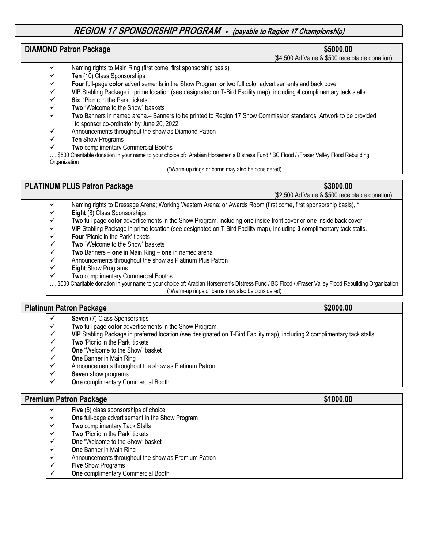## **REGION 17 SPONSORSHIP PROGRAM - (payable to Region 17 Championship)**

### **DIAMOND Patron Package \$5000.00** \$5000.00

(\$4,500 Ad Value & \$500 receiptable donation)

- Naming rights to Main Ring (first come, first sponsorship basis)
- ü **Ten** (10) Class Sponsorships
- ü **Four** full-page **color** advertisements in the Show Program **or** two full color advertisements and back cover
- ü **VIP** Stabling Package in prime location (see designated on T-Bird Facility map), including **4** complimentary tack stalls.
- ü **Six** 'Picnic in the Park' tickets
- ü **Two** "Welcome to the Show" baskets
- ü **Two** Banners in named arena.– Banners to be printed to Region 17 Show Commission standards. Artwork to be provided to sponsor co-ordinator by June 20, 2022<br>
⊿Announcements throughout the show as Di
- Announcements throughout the show as Diamond Patron
- **Ten** Show Programs
- **Two complimentary Commercial Booths**

…..\$500 Charitable donation in your name to your choice of: Arabian Horsemen's Distress Fund / BC Flood / /Fraser Valley Flood Rebuilding **Organization** 

### (\*Warm-up rings or barns may also be considered)

## **PLATINUM PLUS Patron Package <b>\$3000.00 \$3000.00**

(\$2,500 Ad Value & \$500 receiptable donation)

- Naming rights to Dressage Arena; Working Western Arena; or Awards Room (first come, first sponsorship basis), \*
- $\checkmark$  **Eight** (8) Class Sponsorships
- ü **Two** full-page **color** advertisements in the Show Program, including **one** inside front cover or **one** inside back cover
- ü **VIP** Stabling Package in prime location (see designated on T-Bird Facility map), including **3** complimentary tack stalls.
- Four 'Picnic in the Park' tickets
- ü **Two** "Welcome to the Show" baskets
- $\checkmark$  Two Banners one in Main Ring one in named arena
- $\checkmark$  Announcements throughout the show as Platinum Plus Patron
- ü **Eight** Show Programs
- **Two complimentary Commercial Booths**
- …..\$500 Charitable donation in your name to your choice of: Arabian Horsemen's Distress Fund / BC Flood / /Fraser Valley Flood Rebuilding Organization (\*Warm-up rings or barns may also be considered)

## **Platinum Patron Package <b>\$2000.00 \$2000.00**

- ü **Seven** (7) Class Sponsorships
- ü **Two** full-page **color** advertisements in the Show Program
- ü **VIP** Stabling Package in preferred location (see designated on T-Bird Facility map), including **2** complimentary tack stalls.
- ü **Two** 'Picnic in the Park' tickets
- ü **One** "Welcome to the Show" basket
- ü **One** Banner in Main Ring
- $\checkmark$  Announcements throughout the show as Platinum Patron<br> $\checkmark$  Seven show programs
- Seven show programs
- ü **One** complimentary Commercial Booth

## **Premium Patron Package \$1000.00 \$1000.00**

- $\checkmark$  Five (5) class sponsorships of choice
- ü **One** full-page advertisement in the Show Program
- ü **Two** complimentary Tack Stalls
- ü **Two** 'Picnic in the Park' tickets
- ü **One** "Welcome to the Show" basket
- ü **One** Banner in Main Ring
- $\checkmark$  Announcements throughout the show as Premium Patron<br> $\checkmark$  Five Show Programs
- **Five** Show Programs
- **One** complimentary Commercial Booth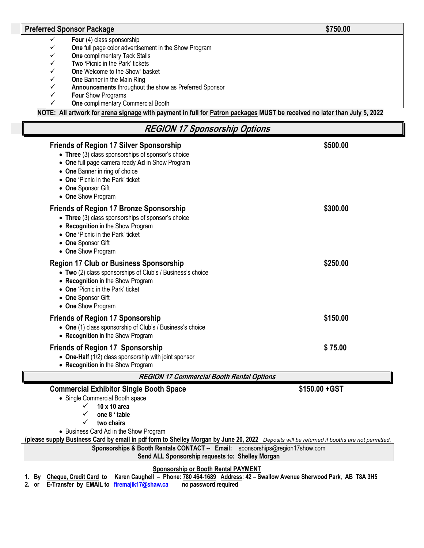### **Preferred Sponsor Package <b>\$750.00 \$750.00**

- $\checkmark$  Four (4) class sponsorship
- $\checkmark$  **One** full page color advertisement in the Show Program  $\checkmark$  one complimentary Tack Stalls
- **V** One complimentary Tack Stalls<br>**V** Two 'Picnic in the Park' tickets
- Two 'Picnic in the Park' tickets
- ü **One** Welcome to the Show" basket
- **<del>✓</del> One** Banner in the Main Ring<br>**✓ Announcements** throughout
- ü **Announcements** throughout the show as Preferred Sponsor
- **Four Show Programs**
- ü **One** complimentary Commercial Booth

**NOTE: All artwork for arena signage with payment in full for Patron packages MUST be received no later than July 5, 2022**

| <b>REGION 17 Sponsorship Options</b>                                                                                                                                                                                                                                            |                |  |  |  |  |
|---------------------------------------------------------------------------------------------------------------------------------------------------------------------------------------------------------------------------------------------------------------------------------|----------------|--|--|--|--|
| <b>Friends of Region 17 Silver Sponsorship</b><br>• Three (3) class sponsorships of sponsor's choice<br>• One full page camera ready Ad in Show Program<br>• One Banner in ring of choice<br>• One 'Picnic in the Park' ticket<br>• One Sponsor Gift<br>• One Show Program      | \$500.00       |  |  |  |  |
| <b>Friends of Region 17 Bronze Sponsorship</b><br>• Three (3) class sponsorships of sponsor's choice<br>• Recognition in the Show Program<br>• One 'Picnic in the Park' ticket<br>• One Sponsor Gift<br>• One Show Program                                                      | \$300.00       |  |  |  |  |
| <b>Region 17 Club or Business Sponsorship</b><br>• Two (2) class sponsorships of Club's / Business's choice<br>• Recognition in the Show Program<br>• One 'Picnic in the Park' ticket<br>• One Sponsor Gift<br>• One Show Program                                               | \$250.00       |  |  |  |  |
| <b>Friends of Region 17 Sponsorship</b><br>• One (1) class sponsorship of Club's / Business's choice<br>• Recognition in the Show Program                                                                                                                                       | \$150.00       |  |  |  |  |
| <b>Friends of Region 17 Sponsorship</b><br>• One-Half (1/2) class sponsorship with joint sponsor<br>• Recognition in the Show Program                                                                                                                                           | \$75.00        |  |  |  |  |
| <b>REGION 17 Commercial Booth Rental Options</b>                                                                                                                                                                                                                                |                |  |  |  |  |
| <b>Commercial Exhibitor Single Booth Space</b><br>• Single Commercial Booth space<br>10 x 10 area<br>one 8 ' table<br>✓<br>two chairs<br>• Business Card Ad in the Show Program                                                                                                 | \$150.00 + GST |  |  |  |  |
| (please supply Business Card by email in pdf form to Shelley Morgan by June 20, 2022 Deposits will be returned if booths are not permitted.<br>Sponsorships & Booth Rentals CONTACT -- Email: sponsorships@region17show.com<br>Send ALL Sponsorship requests to: Shelley Morgan |                |  |  |  |  |

**Sponsorship or Booth Rental PAYMENT**

**1. By Cheque, Credit Card to Karen Caughell – Phone: 780 464-1689 Address: 42 – Swallow Avenue Sherwood Park, AB T8A 3H5**

**2. or E-Transfer by EMAIL to firemajik17@shaw.ca no password required**